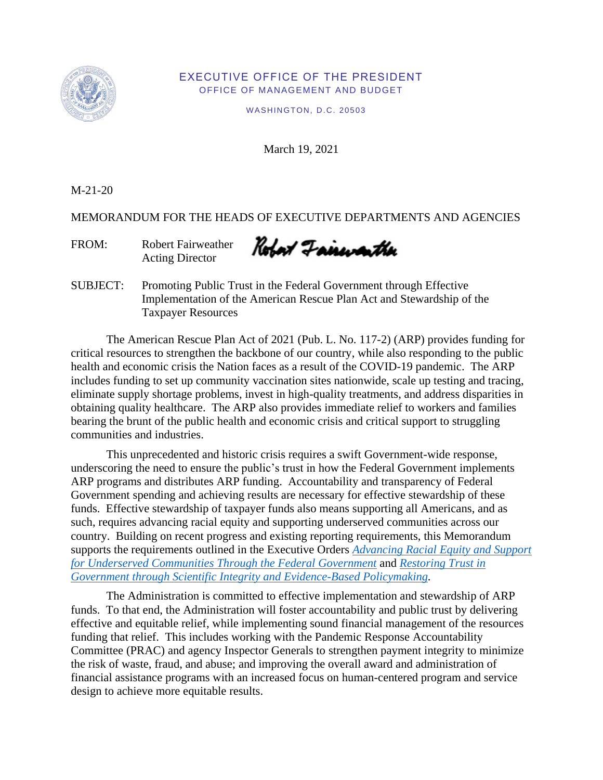

### EXECUTIVE OFFICE OF THE PRESIDENT OFFICE OF MANAGEMENT AND BUDGET

WASHINGTON, D.C. 20503

March 19, 2021

M-21-20

MEMORANDUM FOR THE HEADS OF EXECUTIVE DEPARTMENTS AND AGENCIES

FROM: Robert Fairweather Acting Director

Robort Fairwarther

SUBJECT: Promoting Public Trust in the Federal Government through Effective Implementation of the American Rescue Plan Act and Stewardship of the Taxpayer Resources

The American Rescue Plan Act of 2021 (Pub. L. No. 117-2) (ARP) provides funding for critical resources to strengthen the backbone of our country, while also responding to the public health and economic crisis the Nation faces as a result of the COVID-19 pandemic. The ARP includes funding to set up community vaccination sites nationwide, scale up testing and tracing, eliminate supply shortage problems, invest in high-quality treatments, and address disparities in obtaining quality healthcare. The ARP also provides immediate relief to workers and families bearing the brunt of the public health and economic crisis and critical support to struggling communities and industries.

 country. Building on recent progress and existing reporting requirements, this Memorandum This unprecedented and historic crisis requires a swift Government-wide response, underscoring the need to ensure the public's trust in how the Federal Government implements ARP programs and distributes ARP funding. Accountability and transparency of Federal Government spending and achieving results are necessary for effective stewardship of these funds. Effective stewardship of taxpayer funds also means supporting all Americans, and as such, requires advancing racial equity and supporting underserved communities across our supports the requirements outlined in the Executive Orders *[Advancing Racial Equity and Support](https://www.whitehouse.gov/briefing-room/presidential-actions/2021/01/20/executive-order-advancing-racial-equity-and-support-for-underserved-communities-through-the-federal-government/)  [for Underserved Communities Through the Federal Government](https://www.whitehouse.gov/briefing-room/presidential-actions/2021/01/20/executive-order-advancing-racial-equity-and-support-for-underserved-communities-through-the-federal-government/)* and *[Restoring Trust in](https://www.whitehouse.gov/briefing-room/presidential-actions/2021/01/27/memorandum-on-restoring-trust-in-government-through-scientific-integrity-and-evidence-based-policymaking/)  [Government through Scientific Integrity and Evidence-Based Policymaking.](https://www.whitehouse.gov/briefing-room/presidential-actions/2021/01/27/memorandum-on-restoring-trust-in-government-through-scientific-integrity-and-evidence-based-policymaking/)* 

 Committee (PRAC) and agency Inspector Generals to strengthen payment integrity to minimize The Administration is committed to effective implementation and stewardship of ARP funds. To that end, the Administration will foster accountability and public trust by delivering effective and equitable relief, while implementing sound financial management of the resources funding that relief. This includes working with the Pandemic Response Accountability the risk of waste, fraud, and abuse; and improving the overall award and administration of financial assistance programs with an increased focus on human-centered program and service design to achieve more equitable results.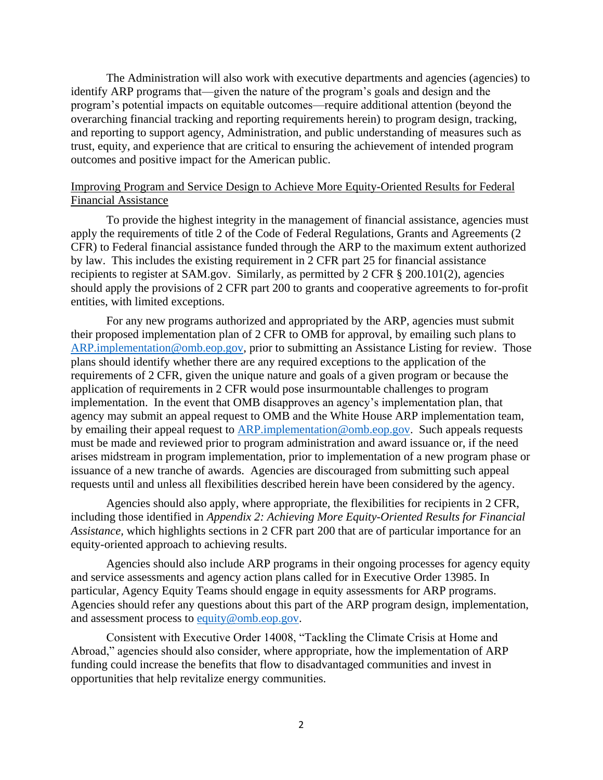The Administration will also work with executive departments and agencies (agencies) to identify ARP programs that—given the nature of the program's goals and design and the program's potential impacts on equitable outcomes—require additional attention (beyond the overarching financial tracking and reporting requirements herein) to program design, tracking, and reporting to support agency, Administration, and public understanding of measures such as trust, equity, and experience that are critical to ensuring the achievement of intended program outcomes and positive impact for the American public.

# Improving Program and Service Design to Achieve More Equity-Oriented Results for Federal Financial Assistance

To provide the highest integrity in the management of financial assistance, agencies must apply the requirements of title 2 of the Code of Federal Regulations, Grants and Agreements (2 CFR) to Federal financial assistance funded through the ARP to the maximum extent authorized by law. This includes the existing requirement in 2 CFR part 25 for financial assistance recipients to register at SAM.gov. Similarly, as permitted by 2 CFR § 200.101(2), agencies should apply the provisions of 2 CFR part 200 to grants and cooperative agreements to for-profit entities, with limited exceptions.

For any new programs authorized and appropriated by the ARP, agencies must submit their proposed implementation plan of 2 CFR to OMB for approval, by emailing such plans to [ARP.implementation@omb.eop.gov,](mailto:ARP.implementation@omb.eop.gov) prior to submitting an Assistance Listing for review. Those plans should identify whether there are any required exceptions to the application of the requirements of 2 CFR, given the unique nature and goals of a given program or because the application of requirements in 2 CFR would pose insurmountable challenges to program implementation. In the event that OMB disapproves an agency's implementation plan, that agency may submit an appeal request to OMB and the White House ARP implementation team, by emailing their appeal request to **ARP**.implementation@omb.eop.gov. Such appeals requests must be made and reviewed prior to program administration and award issuance or, if the need arises midstream in program implementation, prior to implementation of a new program phase or issuance of a new tranche of awards. Agencies are discouraged from submitting such appeal requests until and unless all flexibilities described herein have been considered by the agency.

equity-oriented approach to achieving results. Agencies should also apply, where appropriate, the flexibilities for recipients in 2 CFR, including those identified in *Appendix 2: Achieving More Equity-Oriented Results for Financial Assistance,* which highlights sections in 2 CFR part 200 that are of particular importance for an

particular, Agency Equity Teams should engage in equity assessments for ARP programs. Agencies should also include ARP programs in their ongoing processes for agency equity and service assessments and agency action plans called for in Executive Order 13985. In Agencies should refer any questions about this part of the ARP program design, implementation, and assessment process to [equity@omb.eop.gov.](mailto:equity@omb.eop.gov)

Consistent with Executive Order 14008, "Tackling the Climate Crisis at Home and Abroad," agencies should also consider, where appropriate, how the implementation of ARP funding could increase the benefits that flow to disadvantaged communities and invest in opportunities that help revitalize energy communities.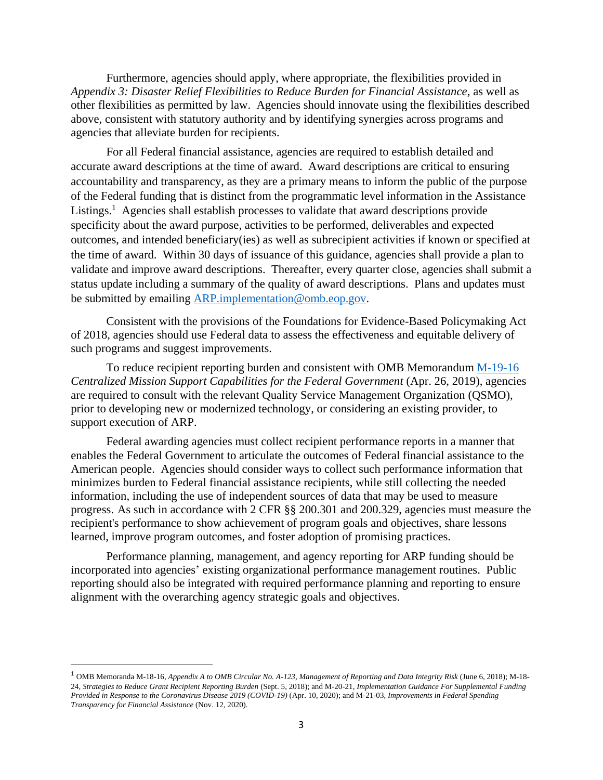Furthermore, agencies should apply, where appropriate, the flexibilities provided in *Appendix 3: Disaster Relief Flexibilities to Reduce Burden for Financial Assistance*, as well as other flexibilities as permitted by law. Agencies should innovate using the flexibilities described above, consistent with statutory authority and by identifying synergies across programs and agencies that alleviate burden for recipients.

 the time of award. Within 30 days of issuance of this guidance, agencies shall provide a plan to validate and improve award descriptions. Thereafter, every quarter close, agencies shall submit a For all Federal financial assistance, agencies are required to establish detailed and accurate award descriptions at the time of award. Award descriptions are critical to ensuring accountability and transparency, as they are a primary means to inform the public of the purpose of the Federal funding that is distinct from the programmatic level information in the Assistance Listings.<sup>1</sup> Agencies shall establish processes to validate that award descriptions provide specificity about the award purpose, activities to be performed, deliverables and expected outcomes, and intended beneficiary(ies) as well as subrecipient activities if known or specified at status update including a summary of the quality of award descriptions. Plans and updates must be submitted by emailing [ARP.implementation@omb.eop.gov.](mailto:ARP.implementation@omb.eop.gov)

Consistent with the provisions of the Foundations for Evidence-Based Policymaking Act of 2018, agencies should use Federal data to assess the effectiveness and equitable delivery of such programs and suggest improvements.

To reduce recipient reporting burden and consistent with OMB Memorandum [M-19-16](https://www.whitehouse.gov/wp-content/uploads/2019/04/M-19-16.pdf)  *Centralized Mission Support Capabilities for the Federal Government (Apr. 26, 2019), agencies* are required to consult with the relevant Quality Service Management Organization (QSMO), prior to developing new or modernized technology, or considering an existing provider, to support execution of ARP.

 American people. Agencies should consider ways to collect such performance information that progress. As such in accordance with 2 CFR §§ 200.301 and 200.329, agencies must measure the Federal awarding agencies must collect recipient performance reports in a manner that enables the Federal Government to articulate the outcomes of Federal financial assistance to the minimizes burden to Federal financial assistance recipients, while still collecting the needed information, including the use of independent sources of data that may be used to measure recipient's performance to show achievement of program goals and objectives, share lessons learned, improve program outcomes, and foster adoption of promising practices.

 alignment with the overarching agency strategic goals and objectives. Performance planning, management, and agency reporting for ARP funding should be incorporated into agencies' existing organizational performance management routines. Public reporting should also be integrated with required performance planning and reporting to ensure

 $\overline{\phantom{a}}$ 

<sup>1</sup>OMB Memoranda M-18-16, *Appendix A to OMB Circular No. A-123, Management of Reporting and Data Integrity Risk* (June 6, 2018); M-18- 24, *Strategies to Reduce Grant Recipient Reporting Burden* (Sept. 5, 2018); and M-20-21, *Implementation Guidance For Supplemental Funding Provided in Response to the Coronavirus Disease 2019 (COVID-19)* (Apr. 10, 2020); and M-21-03, *Improvements in Federal Spending Transparency for Financial Assistance* (Nov. 12, 2020).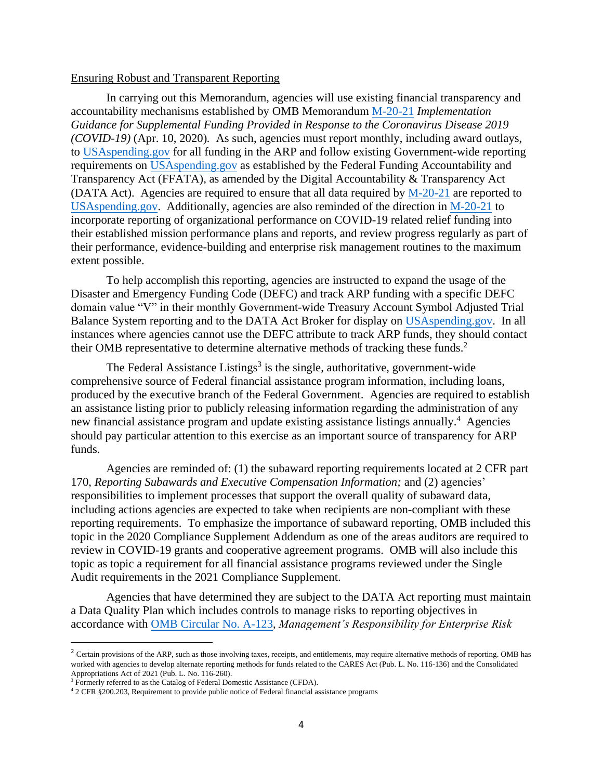#### Ensuring Robust and Transparent Reporting

 (DATA Act). Agencies are required to ensure that all data required by [M-20-21](https://www.whitehouse.gov/wp-content/uploads/2020/04/Implementation-Guidance-for-Supplemental-Funding-Provided-in-Response.pdf) are reported to their performance, evidence-building and enterprise risk management routines to the maximum In carrying out this Memorandum, agencies will use existing financial transparency and accountability mechanisms established by OMB Memorandum [M-20-21](https://www.whitehouse.gov/wp-content/uploads/2020/04/Implementation-Guidance-for-Supplemental-Funding-Provided-in-Response.pdf) *Implementation Guidance for Supplemental Funding Provided in Response to the Coronavirus Disease 2019 (COVID-19)* (Apr. 10, 2020)*.* As such, agencies must report monthly, including award outlays, t[o USAspending.gov](https://www.usaspending.gov/disaster/covid-19) for all funding in the ARP and follow existing Government-wide reporting requirements on [USAspending.gov](https://www.usaspending.gov/disaster/covid-19) as established by the Federal Funding Accountability and Transparency Act (FFATA), as amended by the Digital Accountability & Transparency Act [USAspending.gov.](https://www.usaspending.gov/disaster/covid-19) Additionally, agencies are also reminded of the direction in [M-20-21](https://www.whitehouse.gov/wp-content/uploads/2020/04/Implementation-Guidance-for-Supplemental-Funding-Provided-in-Response.pdf) to incorporate reporting of organizational performance on COVID-19 related relief funding into their established mission performance plans and reports, and review progress regularly as part of extent possible.

To help accomplish this reporting, agencies are instructed to expand the usage of the Disaster and Emergency Funding Code (DEFC) and track ARP funding with a specific DEFC domain value "V" in their monthly Government-wide Treasury Account Symbol Adjusted Trial Balance System reporting and to the DATA Act Broker for display on [USAspending.gov.](https://www.usaspending.gov/disaster/covid-19) In all instances where agencies cannot use the DEFC attribute to track ARP funds, they should contact their OMB representative to determine alternative methods of tracking these funds.<sup>2</sup>

new financial assistance program and update existing assistance listings annually.<sup>4</sup> Agencies The Federal Assistance Listings<sup>3</sup> is the single, authoritative, government-wide comprehensive source of Federal financial assistance program information, including loans, produced by the executive branch of the Federal Government. Agencies are required to establish an assistance listing prior to publicly releasing information regarding the administration of any should pay particular attention to this exercise as an important source of transparency for ARP funds.

 reporting requirements. To emphasize the importance of subaward reporting, OMB included this Agencies are reminded of: (1) the subaward reporting requirements located at 2 CFR part 170, *Reporting Subawards and Executive Compensation Information;* and (2) agencies' responsibilities to implement processes that support the overall quality of subaward data, including actions agencies are expected to take when recipients are non-compliant with these topic in the 2020 Compliance Supplement Addendum as one of the areas auditors are required to review in COVID-19 grants and cooperative agreement programs. OMB will also include this topic as topic a requirement for all financial assistance programs reviewed under the Single Audit requirements in the 2021 Compliance Supplement.

Agencies that have determined they are subject to the DATA Act reporting must maintain a Data Quality Plan which includes controls to manage risks to reporting objectives in accordance wit[h OMB Circular No. A-123,](https://www.whitehouse.gov/wp-content/uploads/2018/06/a11.pdf) *Management's Responsibility for Enterprise Risk* 

 $\overline{a}$ 

 $<sup>2</sup>$  Certain provisions of the ARP, such as those involving taxes, receipts, and entitlements, may require alternative methods of reporting. OMB has</sup> worked with agencies to develop alternate reporting methods for funds related to the CARES Act (Pub. L. No. 116-136) and the Consolidated Appropriations Act of 2021 (Pub. L. No. 116-260).

 $\frac{3 \text{ Form} \times 2000 \text{ m}}{2 \text{ CF}}$  (Pub. 2021 (Public Assistance (CFDA).  $\frac{4 \text{ T}}{2 \text{ CF}}$  & 200.203, Requirement to provide public notice of Federal financial assistance programs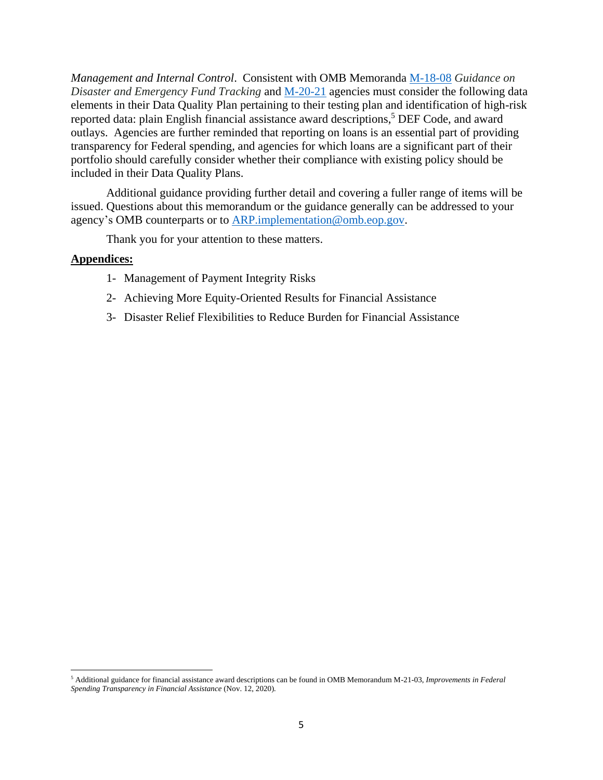*Management and Internal Control*. Consistent with OMB Memoranda [M-18-08](https://www.whitehouse.gov/wp-content/uploads/2017/11/M-18-08.pdf) *Guidance on Disaster and Emergency Fund Tracking* and [M-20-21](https://www.whitehouse.gov/wp-content/uploads/2020/04/Implementation-Guidance-for-Supplemental-Funding-Provided-in-Response.pdf) agencies must consider the following data elements in their Data Quality Plan pertaining to their testing plan and identification of high-risk reported data: plain English financial assistance award descriptions, 5 DEF Code, and award outlays. Agencies are further reminded that reporting on loans is an essential part of providing transparency for Federal spending, and agencies for which loans are a significant part of their portfolio should carefully consider whether their compliance with existing policy should be included in their Data Quality Plans.

Additional guidance providing further detail and covering a fuller range of items will be issued. Questions about this memorandum or the guidance generally can be addressed to your agency's OMB counterparts or to [ARP.implementation@omb.eop.gov.](mailto:ARP.implementation@omb.eop.gov)

Thank you for your attention to these matters.

### **Appendices:**

 $\overline{\phantom{a}}$ 

- 1- Management of Payment Integrity Risks
- 2- Achieving More Equity-Oriented Results for Financial Assistance
- 3- Disaster Relief Flexibilities to Reduce Burden for Financial Assistance

<sup>5</sup> Additional guidance for financial assistance award descriptions can be found in OMB Memorandum M-21-03, *Improvements in Federal Spending Transparency in Financial Assistance* (Nov. 12, 2020)*.*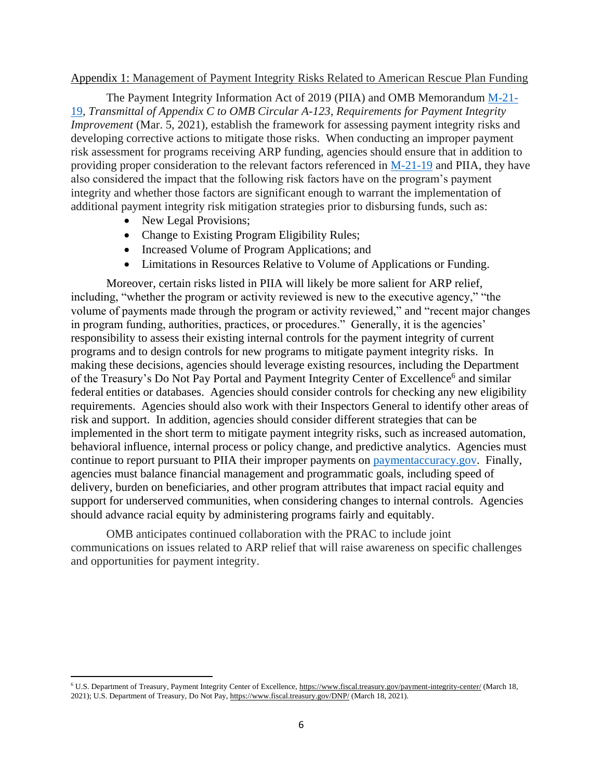#### Appendix 1: Management of Payment Integrity Risks Related to American Rescue Plan Funding

The Payment Integrity Information Act of 2019 (PIIA) and OMB Memorandum [M-21-](https://www.whitehouse.gov/wp-content/uploads/2021/03/M-21-19.pdf) [19,](https://www.whitehouse.gov/wp-content/uploads/2021/03/M-21-19.pdf) *Transmittal of Appendix C to OMB Circular A-123, Requirements for Payment Integrity Improvement* (Mar. 5, 2021), establish the framework for assessing payment integrity risks and developing corrective actions to mitigate those risks. When conducting an improper payment risk assessment for programs receiving ARP funding, agencies should ensure that in addition to providing proper consideration to the relevant factors referenced in [M-21-19](https://www.whitehouse.gov/wp-content/uploads/2021/03/M-21-19.pdf) and PIIA, they have also considered the impact that the following risk factors have on the program's payment integrity and whether those factors are significant enough to warrant the implementation of additional payment integrity risk mitigation strategies prior to disbursing funds, such as:

• New Legal Provisions;

 $\overline{\phantom{a}}$ 

- Change to Existing Program Eligibility Rules;
- Increased Volume of Program Applications; and
- Limitations in Resources Relative to Volume of Applications or Funding.

Moreover, certain risks listed in PIIA will likely be more salient for ARP relief, including, "whether the program or activity reviewed is new to the executive agency," "the volume of payments made through the program or activity reviewed," and "recent major changes in program funding, authorities, practices, or procedures." Generally, it is the agencies' responsibility to assess their existing internal controls for the payment integrity of current programs and to design controls for new programs to mitigate payment integrity risks. In making these decisions, agencies should leverage existing resources, including the Department of the Treasury's Do Not Pay Portal and Payment Integrity Center of Excellence<sup>6</sup> and similar federal entities or databases. Agencies should consider controls for checking any new eligibility requirements. Agencies should also work with their Inspectors General to identify other areas of risk and support. In addition, agencies should consider different strategies that can be implemented in the short term to mitigate payment integrity risks, such as increased automation, behavioral influence, internal process or policy change, and predictive analytics. Agencies must continue to report pursuant to PIIA their improper payments on [paymentaccuracy.gov.](https://www.paymentaccuracy.gov/) Finally, agencies must balance financial management and programmatic goals, including speed of delivery, burden on beneficiaries, and other program attributes that impact racial equity and support for underserved communities, when considering changes to internal controls. Agencies should advance racial equity by administering programs fairly and equitably.

OMB anticipates continued collaboration with the PRAC to include joint communications on issues related to ARP relief that will raise awareness on specific challenges and opportunities for payment integrity.

<sup>6</sup> U.S. Department of Treasury, Payment Integrity Center of Excellence[, https://www.fiscal.treasury.gov/payment-integrity-center/ \(](https://www.fiscal.treasury.gov/payment-integrity-center/)March 18, 2021); U.S. Department of Treasury, Do Not Pay, [https://www.fiscal.treasury.gov/DNP/ \(](https://www.fiscal.treasury.gov/DNP/)March 18, 2021).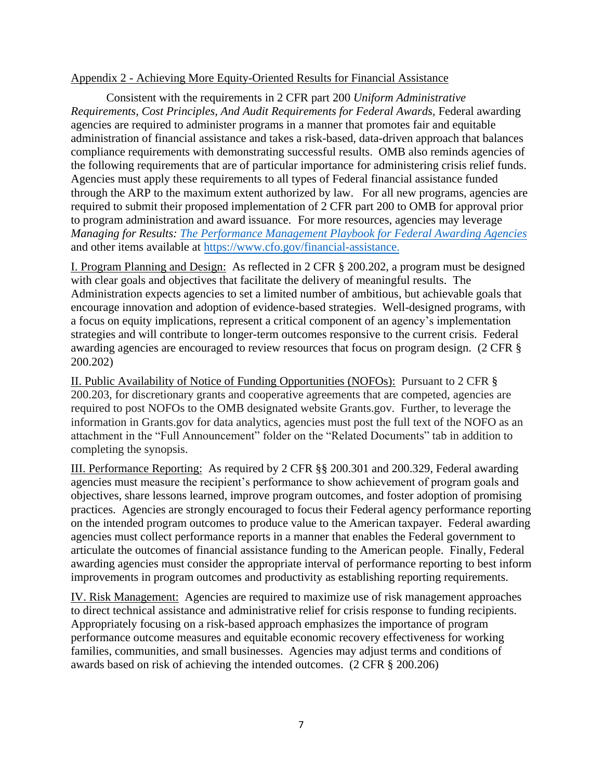## Appendix 2 - Achieving More Equity-Oriented Results for Financial Assistance

Consistent with the requirements in 2 CFR part 200 *Uniform Administrative Requirements, Cost Principles, And Audit Requirements for Federal Awards, Federal awarding* agencies are required to administer programs in a manner that promotes fair and equitable administration of financial assistance and takes a risk-based, data-driven approach that balances compliance requirements with demonstrating successful results. OMB also reminds agencies of the following requirements that are of particular importance for administering crisis relief funds. Agencies must apply these requirements to all types of Federal financial assistance funded through the ARP to the maximum extent authorized by law. For all new programs, agencies are required to submit their proposed implementation of 2 CFR part 200 to OMB for approval prior to program administration and award issuance. For more resources, agencies may leverage *Managing for Results: [The Performance Management Playbook for Federal Awarding Agencies](https://www.cfo.gov/wp-content/uploads/2021/Managing-for-Results-Performance-Management-Playbook-for-Federal-Awarding-Agencies.pdf)* and other items available at https://www.cfo.gov/financial-assistance.

I. Program Planning and Design: As reflected in 2 CFR § 200.202, a program must be designed with clear goals and objectives that facilitate the delivery of meaningful results. The Administration expects agencies to set a limited number of ambitious, but achievable goals that encourage innovation and adoption of evidence-based strategies. Well-designed programs, with a focus on equity implications, represent a critical component of an agency's implementation strategies and will contribute to longer-term outcomes responsive to the current crisis. Federal awarding agencies are encouraged to review resources that focus on program design. (2 CFR § 200.202)

 II. Public Availability of Notice of Funding Opportunities (NOFOs): Pursuant to 2 CFR § 200.203, for discretionary grants and cooperative agreements that are competed, agencies are required to post NOFOs to the OMB designated website Grants.gov. Further, to leverage the information in Grants.gov for data analytics, agencies must post the full text of the NOFO as an attachment in the "Full Announcement" folder on the "Related Documents" tab in addition to completing the synopsis.

III. Performance Reporting: As required by 2 CFR §§ 200.301 and 200.329, Federal awarding agencies must measure the recipient's performance to show achievement of program goals and objectives, share lessons learned, improve program outcomes, and foster adoption of promising practices. Agencies are strongly encouraged to focus their Federal agency performance reporting on the intended program outcomes to produce value to the American taxpayer. Federal awarding agencies must collect performance reports in a manner that enables the Federal government to articulate the outcomes of financial assistance funding to the American people. Finally, Federal awarding agencies must consider the appropriate interval of performance reporting to best inform improvements in program outcomes and productivity as establishing reporting requirements.

IV. Risk Management: Agencies are required to maximize use of risk management approaches to direct technical assistance and administrative relief for crisis response to funding recipients. Appropriately focusing on a risk-based approach emphasizes the importance of program performance outcome measures and equitable economic recovery effectiveness for working families, communities, and small businesses. Agencies may adjust terms and conditions of awards based on risk of achieving the intended outcomes. (2 CFR § 200.206)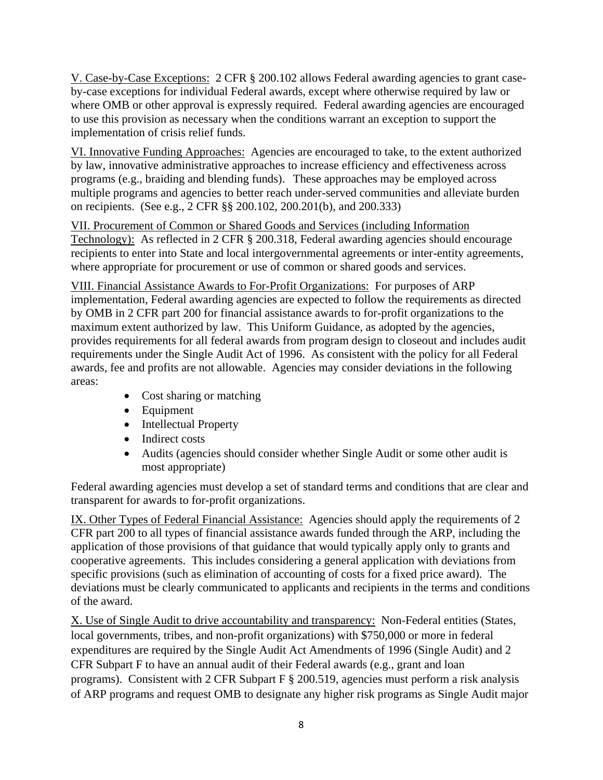V. Case-by-Case Exceptions: 2 CFR § 200.102 allows Federal awarding agencies to grant caseby-case exceptions for individual Federal awards, except where otherwise required by law or where OMB or other approval is expressly required. Federal awarding agencies are encouraged to use this provision as necessary when the conditions warrant an exception to support the implementation of crisis relief funds.

 programs (e.g., braiding and blending funds). These approaches may be employed across VI. Innovative Funding Approaches: Agencies are encouraged to take, to the extent authorized by law, innovative administrative approaches to increase efficiency and effectiveness across multiple programs and agencies to better reach under-served communities and alleviate burden on recipients. (See e.g., 2 CFR §§ 200.102, 200.201(b), and 200.333)

VII. Procurement of Common or Shared Goods and Services (including Information Technology): As reflected in 2 CFR § 200.318, Federal awarding agencies should encourage recipients to enter into State and local intergovernmental agreements or inter-entity agreements, where appropriate for procurement or use of common or shared goods and services.

 VIII. Financial Assistance Awards to For-Profit Organizations: For purposes of ARP requirements under the Single Audit Act of 1996. As consistent with the policy for all Federal implementation, Federal awarding agencies are expected to follow the requirements as directed by OMB in 2 CFR part 200 for financial assistance awards to for-profit organizations to the maximum extent authorized by law. This Uniform Guidance, as adopted by the agencies, provides requirements for all federal awards from program design to closeout and includes audit awards, fee and profits are not allowable. Agencies may consider deviations in the following areas:

- Cost sharing or matching
- Equipment
- Intellectual Property
- Indirect costs
- Audits (agencies should consider whether Single Audit or some other audit is most appropriate)

Federal awarding agencies must develop a set of standard terms and conditions that are clear and transparent for awards to for-profit organizations.

IX. Other Types of Federal Financial Assistance: Agencies should apply the requirements of 2 CFR part 200 to all types of financial assistance awards funded through the ARP, including the application of those provisions of that guidance that would typically apply only to grants and cooperative agreements. This includes considering a general application with deviations from specific provisions (such as elimination of accounting of costs for a fixed price award). The deviations must be clearly communicated to applicants and recipients in the terms and conditions of the award.

X. Use of Single Audit to drive accountability and transparency: Non-Federal entities (States, local governments, tribes, and non-profit organizations) with \$750,000 or more in federal expenditures are required by the Single Audit Act Amendments of 1996 (Single Audit) and 2 CFR Subpart F to have an annual audit of their Federal awards (e.g., grant and loan programs). Consistent with 2 CFR Subpart F § 200.519, agencies must perform a risk analysis of ARP programs and request OMB to designate any higher risk programs as Single Audit major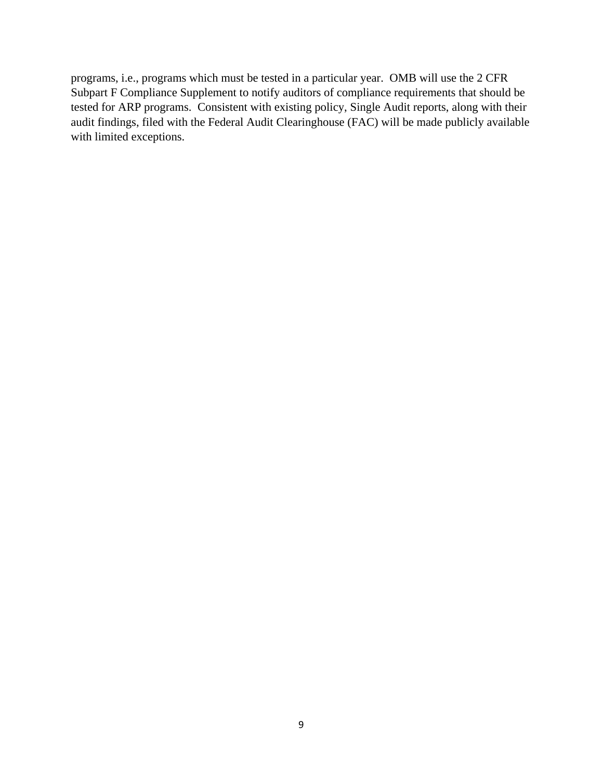programs, i.e., programs which must be tested in a particular year. OMB will use the 2 CFR Subpart F Compliance Supplement to notify auditors of compliance requirements that should be tested for ARP programs. Consistent with existing policy, Single Audit reports, along with their audit findings, filed with the Federal Audit Clearinghouse (FAC) will be made publicly available with limited exceptions.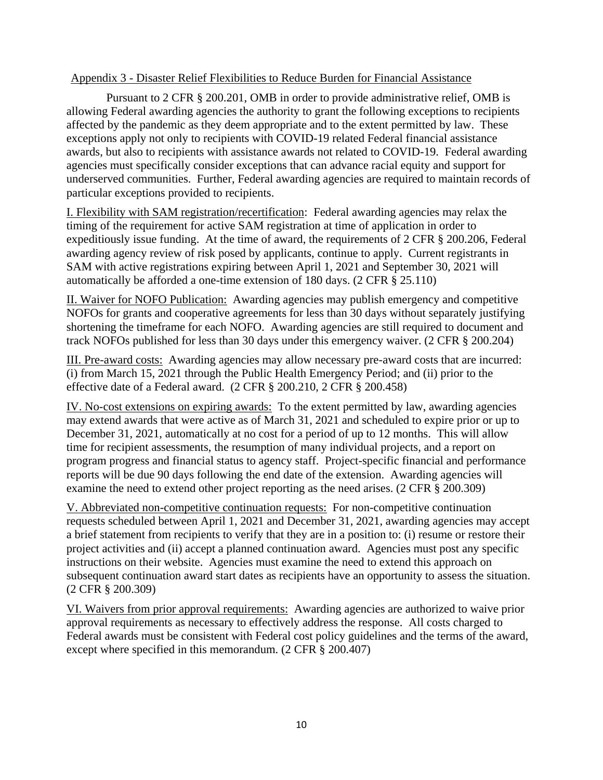# Appendix 3 - Disaster Relief Flexibilities to Reduce Burden for Financial Assistance

Pursuant to 2 CFR § 200.201, OMB in order to provide administrative relief, OMB is allowing Federal awarding agencies the authority to grant the following exceptions to recipients affected by the pandemic as they deem appropriate and to the extent permitted by law. These exceptions apply not only to recipients with COVID-19 related Federal financial assistance awards, but also to recipients with assistance awards not related to COVID-19. Federal awarding agencies must specifically consider exceptions that can advance racial equity and support for underserved communities. Further, Federal awarding agencies are required to maintain records of particular exceptions provided to recipients.

 timing of the requirement for active SAM registration at time of application in order to I. Flexibility with SAM registration/recertification: Federal awarding agencies may relax the expeditiously issue funding. At the time of award, the requirements of 2 CFR § 200.206, Federal awarding agency review of risk posed by applicants, continue to apply. Current registrants in SAM with active registrations expiring between April 1, 2021 and September 30, 2021 will automatically be afforded a one-time extension of 180 days. (2 CFR § 25.110)

II. Waiver for NOFO Publication: Awarding agencies may publish emergency and competitive NOFOs for grants and cooperative agreements for less than 30 days without separately justifying shortening the timeframe for each NOFO. Awarding agencies are still required to document and track NOFOs published for less than 30 days under this emergency waiver. (2 CFR § 200.204)

III. Pre-award costs: Awarding agencies may allow necessary pre-award costs that are incurred: (i) from March 15, 2021 through the Public Health Emergency Period; and (ii) prior to the effective date of a Federal award. (2 CFR § 200.210, 2 CFR § 200.458)

IV. No-cost extensions on expiring awards: To the extent permitted by law, awarding agencies may extend awards that were active as of March 31, 2021 and scheduled to expire prior or up to December 31, 2021, automatically at no cost for a period of up to 12 months. This will allow time for recipient assessments, the resumption of many individual projects, and a report on program progress and financial status to agency staff. Project-specific financial and performance reports will be due 90 days following the end date of the extension. Awarding agencies will examine the need to extend other project reporting as the need arises. (2 CFR § 200.309)

V. Abbreviated non-competitive continuation requests: For non-competitive continuation requests scheduled between April 1, 2021 and December 31, 2021, awarding agencies may accept a brief statement from recipients to verify that they are in a position to: (i) resume or restore their project activities and (ii) accept a planned continuation award. Agencies must post any specific instructions on their website. Agencies must examine the need to extend this approach on subsequent continuation award start dates as recipients have an opportunity to assess the situation. (2 CFR § 200.309)

VI. Waivers from prior approval requirements: Awarding agencies are authorized to waive prior approval requirements as necessary to effectively address the response. All costs charged to Federal awards must be consistent with Federal cost policy guidelines and the terms of the award, except where specified in this memorandum. (2 CFR § 200.407)